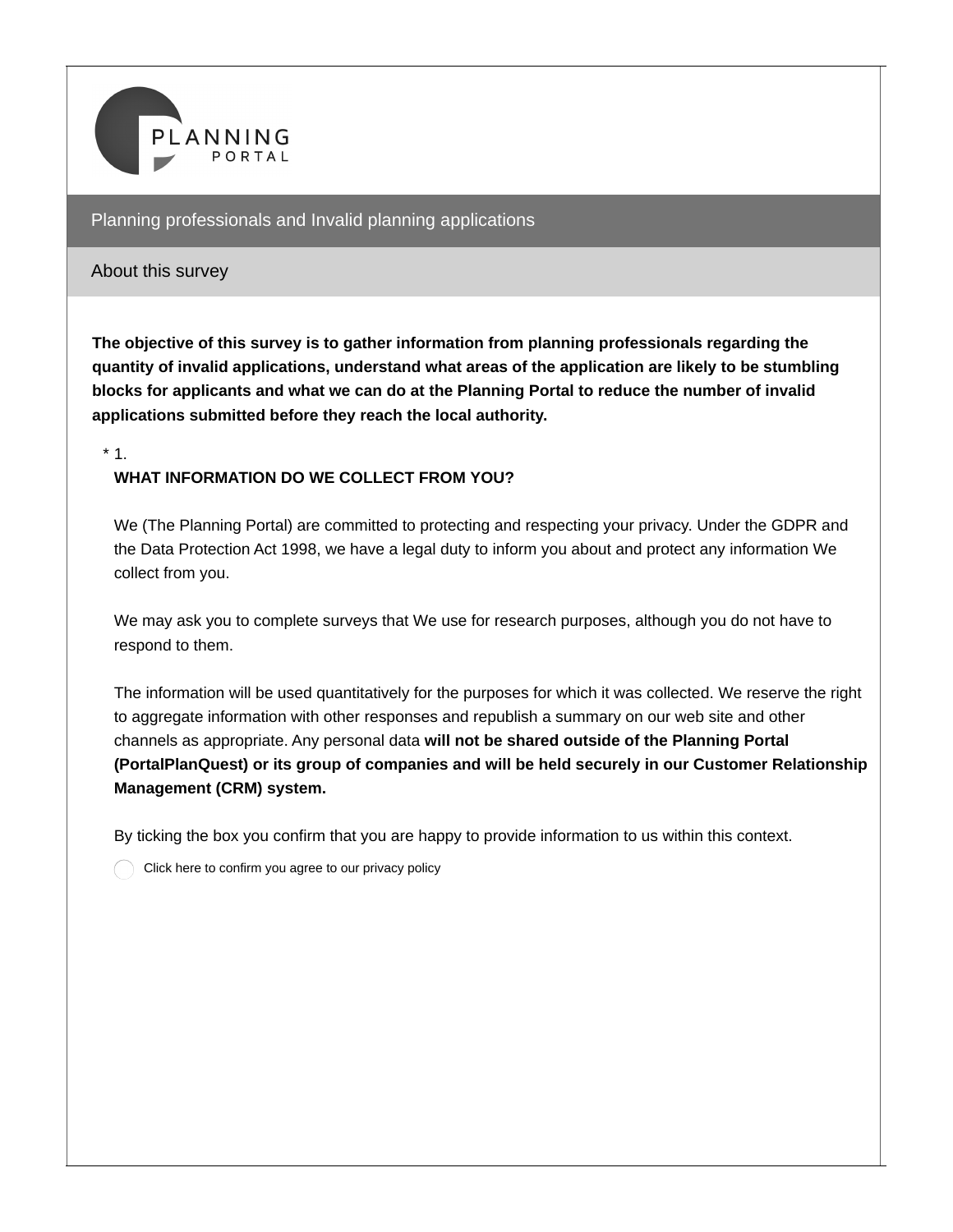

#### About this survey

**The objective of this survey is to gather information from planning professionals regarding the quantity of invalid applications, understand what areas of the application are likely to be stumbling blocks for applicants and what we can do at the Planning Portal to reduce the number of invalid applications submitted before they reach the local authority.**

 $*1$ .

#### **WHAT INFORMATION DO WE COLLECT FROM YOU?**

We (The Planning Portal) are committed to protecting and respecting your privacy. Under the GDPR and the Data Protection Act 1998, we have a legal duty to inform you about and protect any information We collect from you.

We may ask you to complete surveys that We use for research purposes, although you do not have to respond to them.

The information will be used quantitatively for the purposes for which it was collected. We reserve the right to aggregate information with other responses and republish a summary on our web site and other channels as appropriate. Any personal data **will not be shared outside of the Planning Portal (PortalPlanQuest) or its group of companies and will be held securely in our Customer Relationship Management (CRM) system.**

By ticking the box you confirm that you are happy to provide information to us within this context.

Click here to confirm you agree to our privacy policy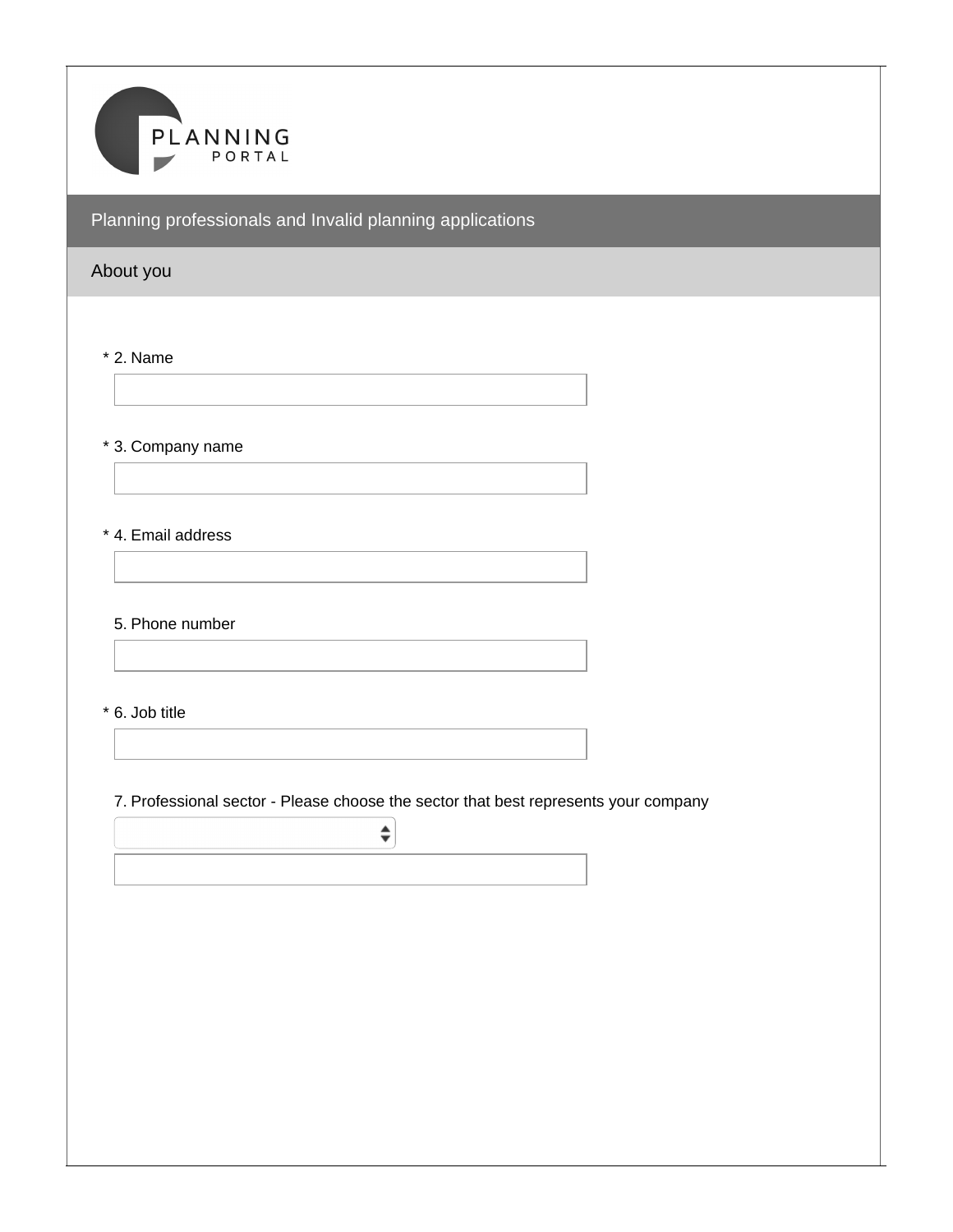

# About you

\* 2. Name

\* 3. Company name

\* 4. Email address

5. Phone number

\* 6. Job title

7. Professional sector - Please choose the sector that best represents your company

 $\div$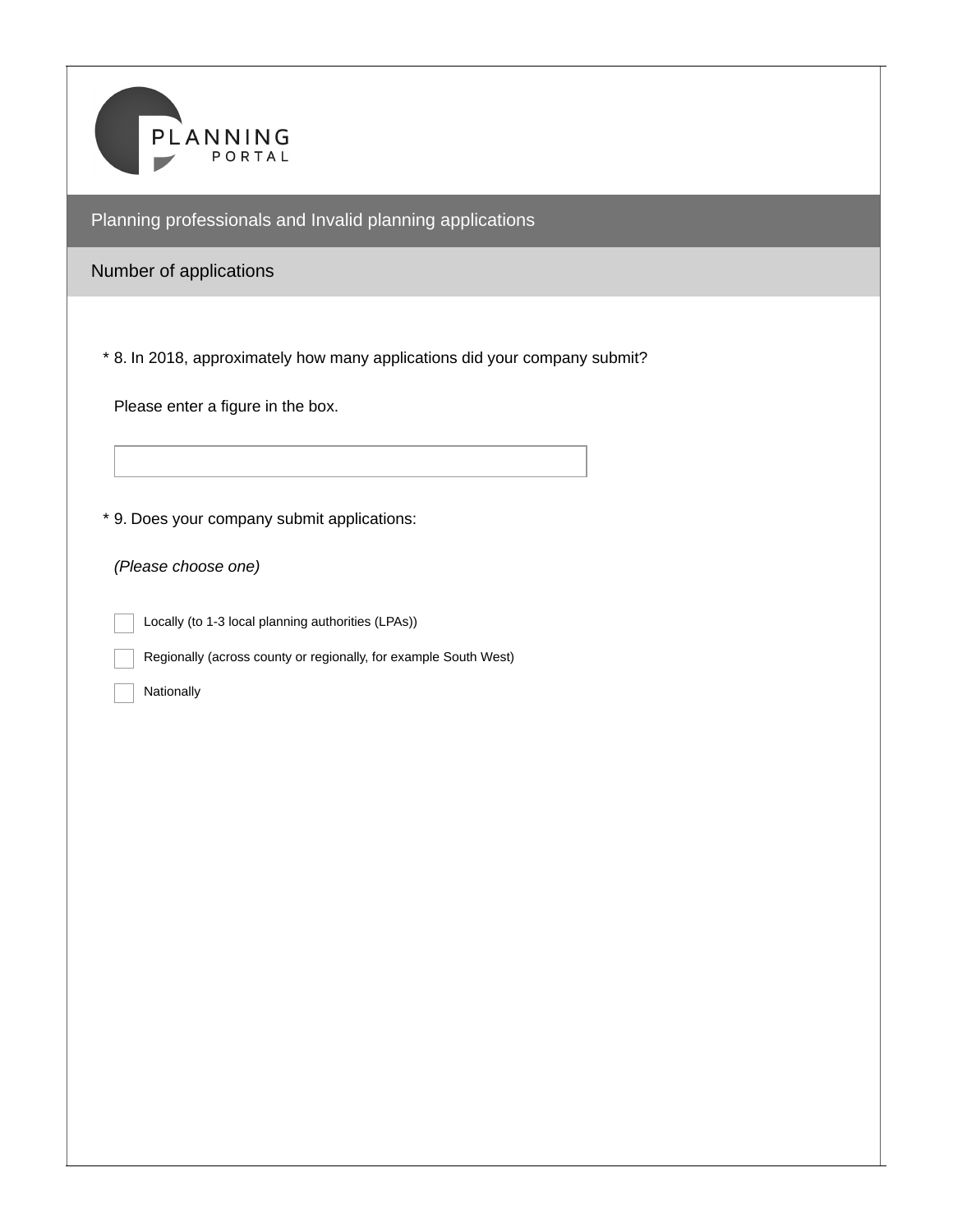

## Number of applications

8. In 2018, approximately how many applications did your company submit? \*

Please enter a figure in the box.

9. Does your company submit applications: \*

*(Please choose one)*

Locally (to 1-3 local planning authorities (LPAs))

Regionally (across county or regionally, for example South West)

Nationally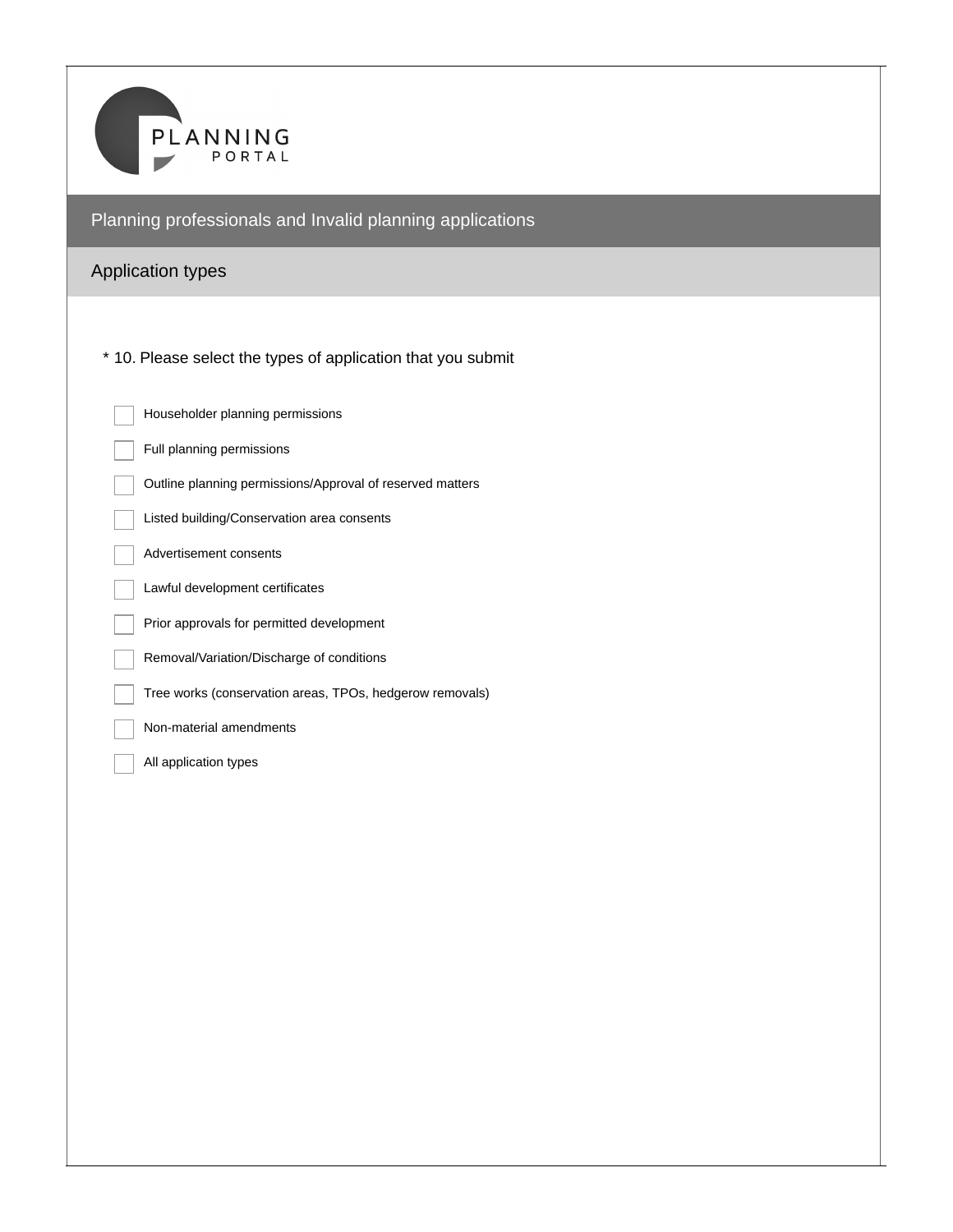

# Application types

\* 10. Please select the types of application that you submit

| Householder planning permissions                          |
|-----------------------------------------------------------|
| Full planning permissions                                 |
| Outline planning permissions/Approval of reserved matters |
| Listed building/Conservation area consents                |
| Advertisement consents                                    |
| Lawful development certificates                           |
| Prior approvals for permitted development                 |
| Removal/Variation/Discharge of conditions                 |
| Tree works (conservation areas, TPOs, hedgerow removals)  |
| Non-material amendments                                   |
| All application types                                     |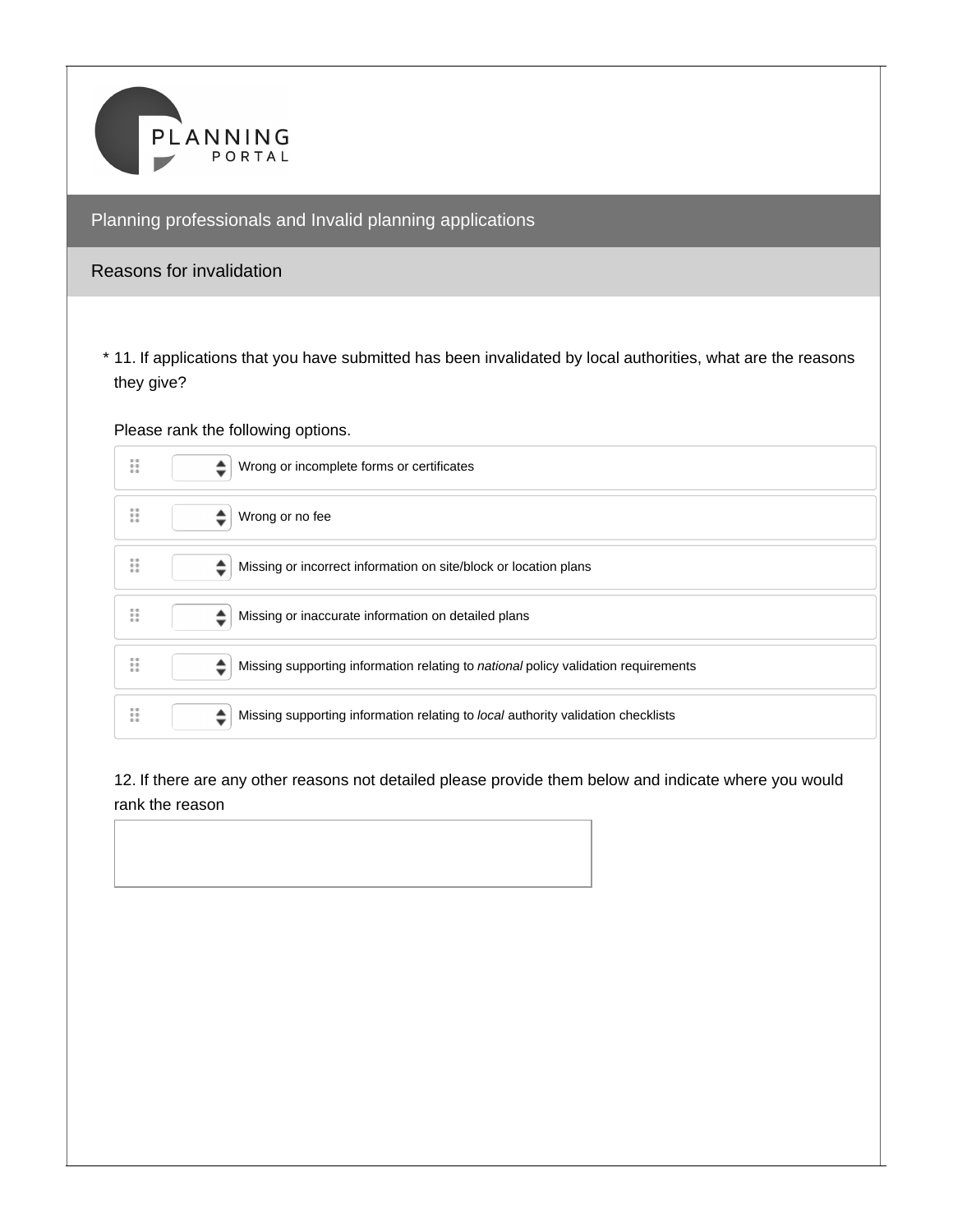

#### Reasons for invalidation

11. If applications that you have submitted has been invalidated by local authorities, what are the reasons \* they give?

Please rank the following options.



12. If there are any other reasons not detailed please provide them below and indicate where you would rank the reason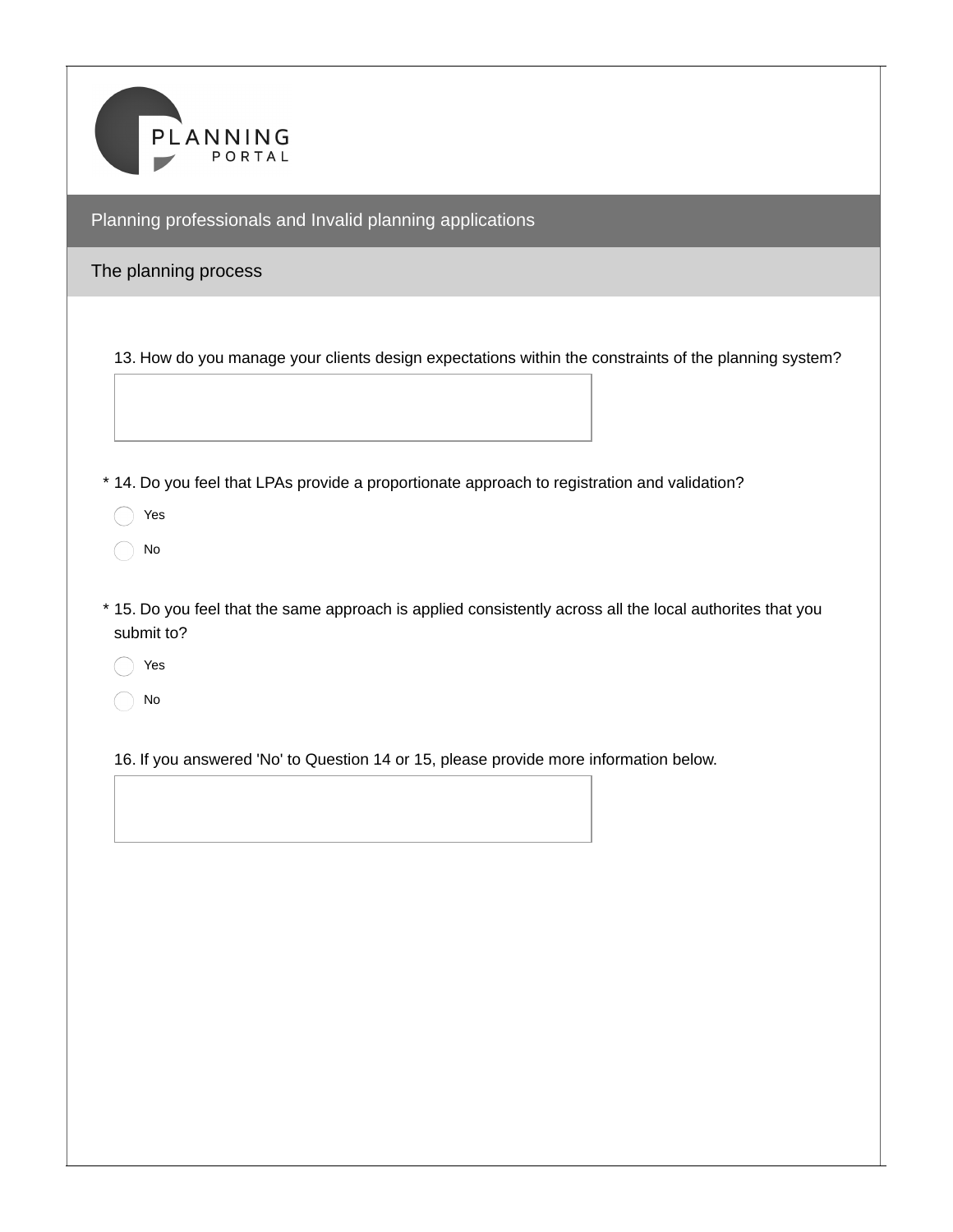

## The planning process

13. How do you manage your clients design expectations within the constraints of the planning system?

\* 14. Do you feel that LPAs provide a proportionate approach to registration and validation?

◯ Yes

 $\bigcap$  No

15. Do you feel that the same approach is applied consistently across all the local authorites that you \* submit to?

Yes

No

16. If you answered 'No' to Question 14 or 15, please provide more information below.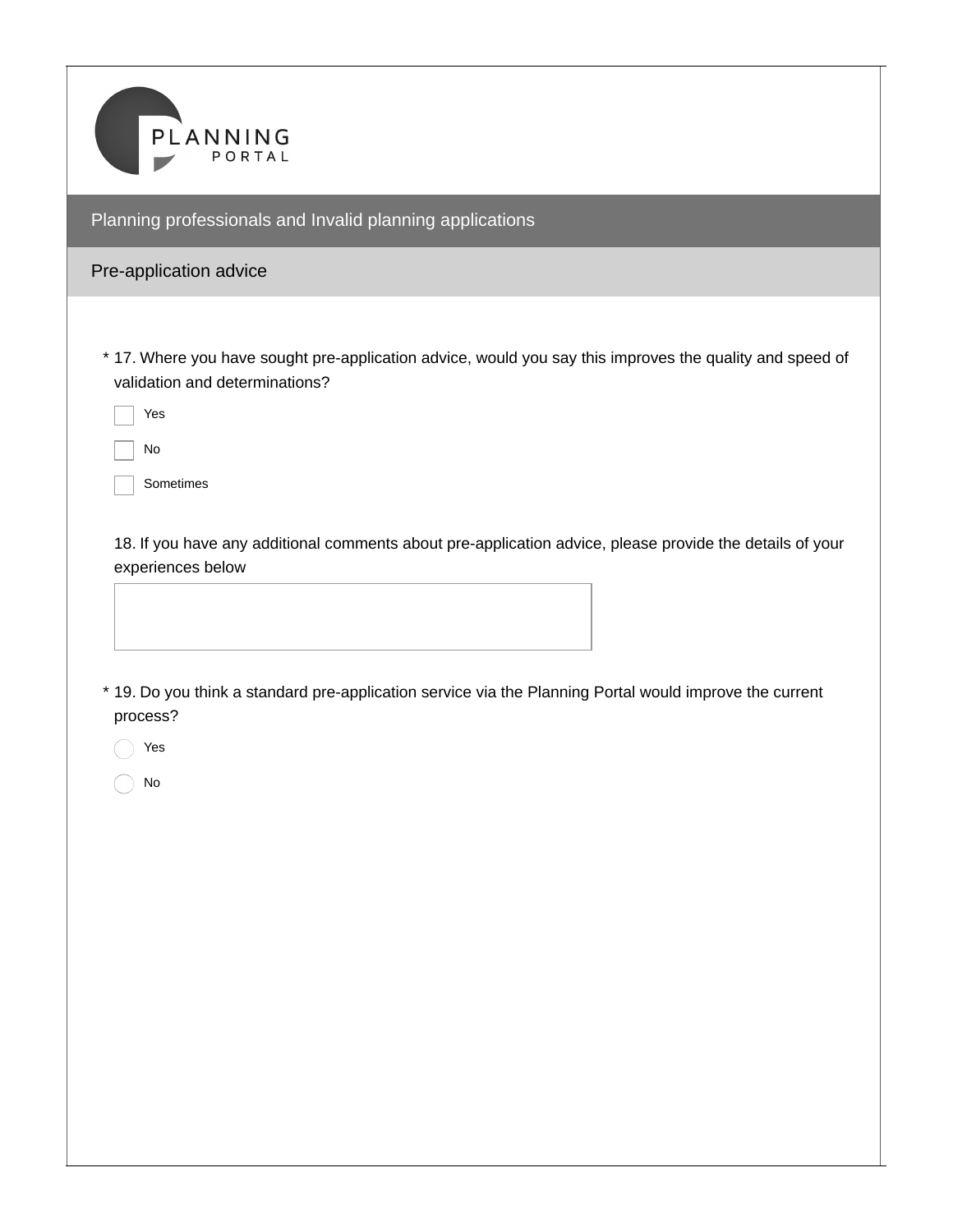

## Pre-application advice

17. Where you have sought pre-application advice, would you say this improves the quality and speed of \* validation and determinations?

Yes

No

Sometimes

18. If you have any additional comments about pre-application advice, please provide the details of your experiences below

19. Do you think a standard pre-application service via the Planning Portal would improve the current \* process?

Yes

No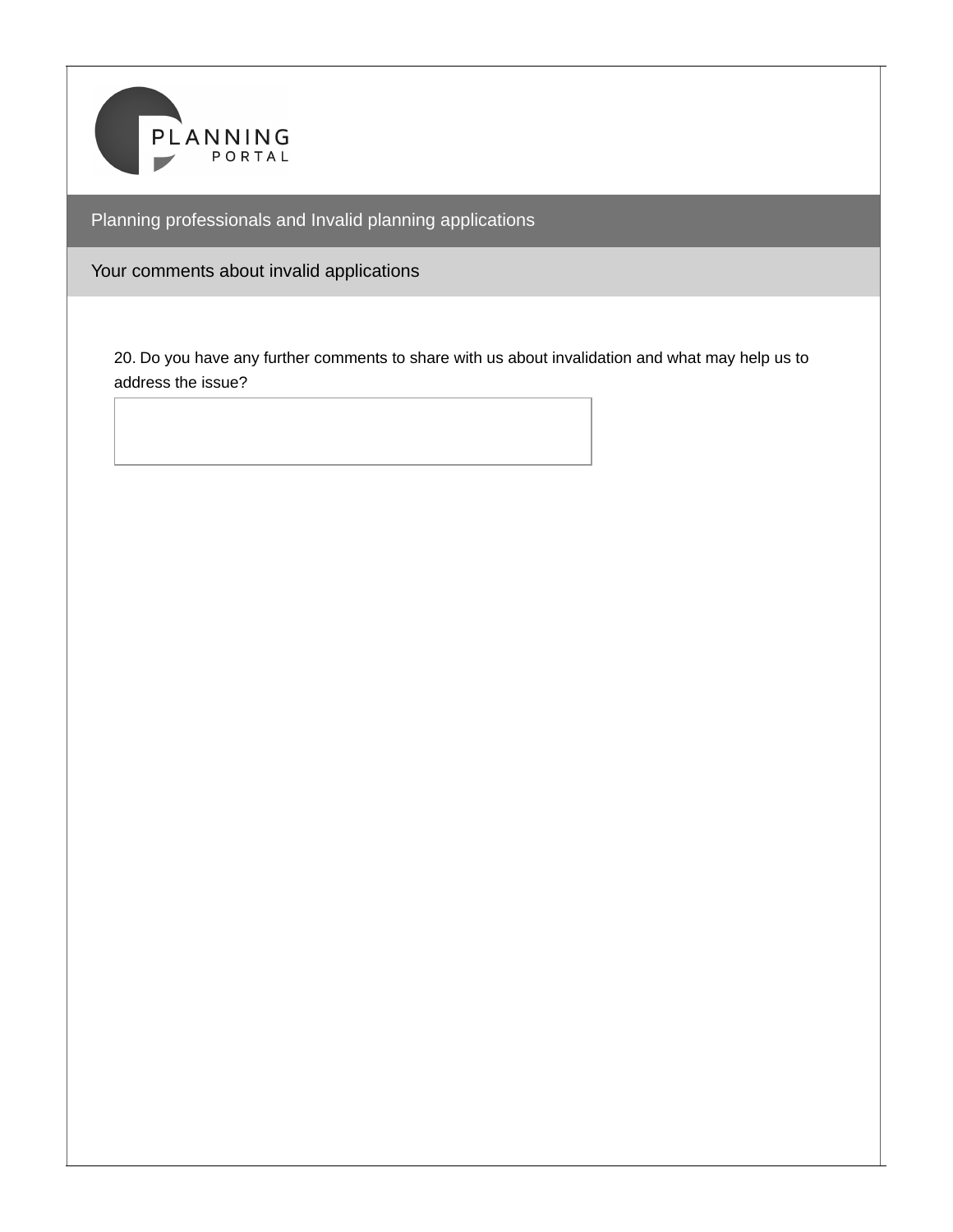

Your comments about invalid applications

20. Do you have any further comments to share with us about invalidation and what may help us to address the issue?